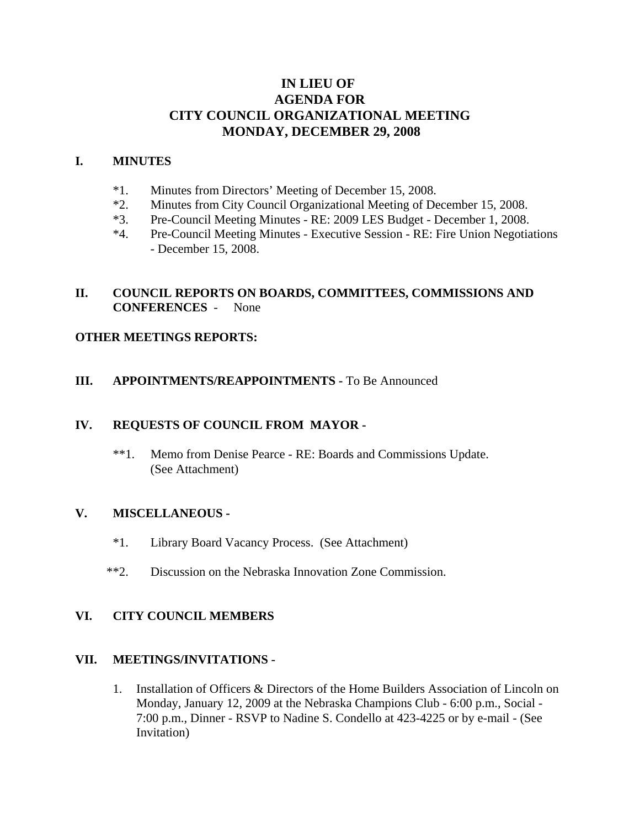# **IN LIEU OF AGENDA FOR CITY COUNCIL ORGANIZATIONAL MEETING MONDAY, DECEMBER 29, 2008**

### **I. MINUTES**

- \*1. Minutes from Directors' Meeting of December 15, 2008.
- \*2. Minutes from City Council Organizational Meeting of December 15, 2008.
- \*3. Pre-Council Meeting Minutes RE: 2009 LES Budget December 1, 2008.
- \*4. Pre-Council Meeting Minutes Executive Session RE: Fire Union Negotiations - December 15, 2008.

## **II. COUNCIL REPORTS ON BOARDS, COMMITTEES, COMMISSIONS AND CONFERENCES** - None

## **OTHER MEETINGS REPORTS:**

## **III.** APPOINTMENTS/REAPPOINTMENTS - To Be Announced

## **IV. REQUESTS OF COUNCIL FROM MAYOR -**

\*\*1. Memo from Denise Pearce - RE: Boards and Commissions Update. (See Attachment)

#### **V. MISCELLANEOUS -**

- \*1. Library Board Vacancy Process. (See Attachment)
- \*\*2. Discussion on the Nebraska Innovation Zone Commission.

## **VI. CITY COUNCIL MEMBERS**

#### **VII. MEETINGS/INVITATIONS -**

1. Installation of Officers & Directors of the Home Builders Association of Lincoln on Monday, January 12, 2009 at the Nebraska Champions Club - 6:00 p.m., Social - 7:00 p.m., Dinner - RSVP to Nadine S. Condello at 423-4225 or by e-mail - (See Invitation)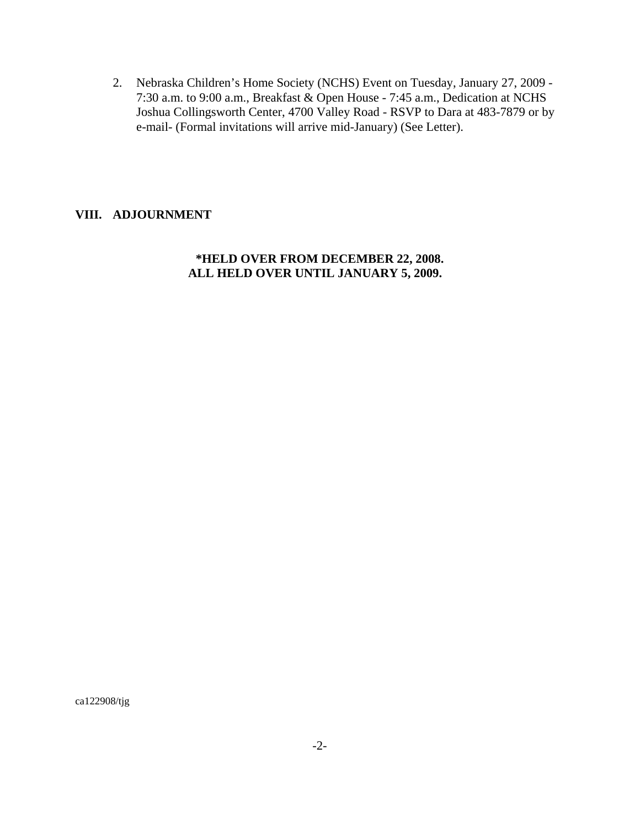2. Nebraska Children's Home Society (NCHS) Event on Tuesday, January 27, 2009 - 7:30 a.m. to 9:00 a.m., Breakfast & Open House - 7:45 a.m., Dedication at NCHS Joshua Collingsworth Center, 4700 Valley Road - RSVP to Dara at 483-7879 or by e-mail- (Formal invitations will arrive mid-January) (See Letter).

## **VIII. ADJOURNMENT**

## **\*HELD OVER FROM DECEMBER 22, 2008. ALL HELD OVER UNTIL JANUARY 5, 2009.**

ca122908/tjg